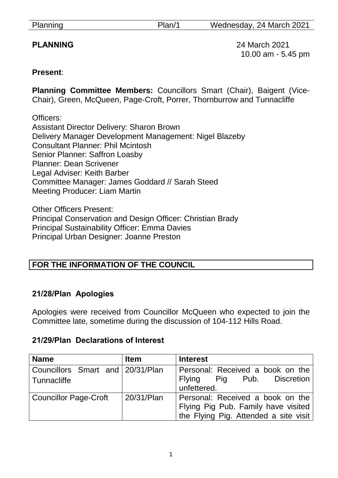Planning Plan/1 Wednesday, 24 March 2021

**PLANNING** 24 March 2021 10.00 am - 5.45 pm

### **Present**:

**Planning Committee Members:** Councillors Smart (Chair), Baigent (Vice-Chair), Green, McQueen, Page-Croft, Porrer, Thornburrow and Tunnacliffe

Officers: Assistant Director Delivery: Sharon Brown Delivery Manager Development Management: Nigel Blazeby Consultant Planner: Phil Mcintosh Senior Planner: Saffron Loasby Planner: Dean Scrivener Legal Adviser: Keith Barber Committee Manager: James Goddard // Sarah Steed Meeting Producer: Liam Martin

Other Officers Present: Principal Conservation and Design Officer: Christian Brady Principal Sustainability Officer: Emma Davies Principal Urban Designer: Joanne Preston

## **FOR THE INFORMATION OF THE COUNCIL**

## **21/28/Plan Apologies**

Apologies were received from Councillor McQueen who expected to join the Committee late, sometime during the discussion of 104-112 Hills Road.

#### **21/29/Plan Declarations of Interest**

| <b>Name</b>                      | <b>Item</b> | <b>Interest</b>                       |
|----------------------------------|-------------|---------------------------------------|
| Councillors Smart and 20/31/Plan |             | Personal: Received a book on the      |
| l Tunnacliffe                    |             | Flying Pig Pub. Discretion            |
|                                  |             | unfettered.                           |
| <b>Councillor Page-Croft</b>     | 20/31/Plan  | Personal: Received a book on the      |
|                                  |             | Flying Pig Pub. Family have visited   |
|                                  |             | the Flying Pig. Attended a site visit |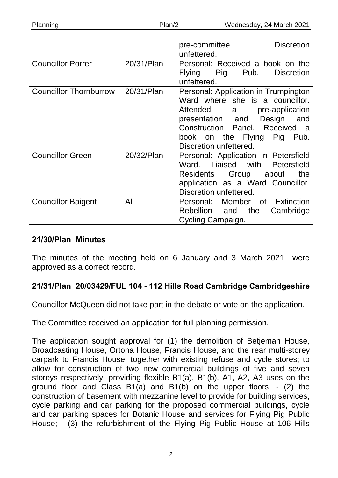| Planning | Plan/2 | Wednesday, 24 March 2021 |  |
|----------|--------|--------------------------|--|
|          |        |                          |  |

|                               |            | <b>Discretion</b><br>pre-committee.  |
|-------------------------------|------------|--------------------------------------|
|                               |            | unfettered.                          |
| <b>Councillor Porrer</b>      | 20/31/Plan | Personal: Received a book on the     |
|                               |            | Flying Pig Pub.<br><b>Discretion</b> |
|                               |            | unfettered.                          |
| <b>Councillor Thornburrow</b> | 20/31/Plan | Personal: Application in Trumpington |
|                               |            | Ward where she is a councillor.      |
|                               |            | Attended a pre-application           |
|                               |            | presentation and Design and          |
|                               |            | Construction Panel. Received a       |
|                               |            | book on the Flying Pig Pub.          |
|                               |            | Discretion unfettered.               |
| <b>Councillor Green</b>       | 20/32/Plan | Personal: Application in Petersfield |
|                               |            | Ward. Liaised with Petersfield       |
|                               |            | Residents Group about<br>the         |
|                               |            | application as a Ward Councillor.    |
|                               |            | Discretion unfettered.               |
| <b>Councillor Baigent</b>     | All        | Personal: Member of Extinction       |
|                               |            | Rebellion and the<br>Cambridge       |
|                               |            | Cycling Campaign.                    |

#### **21/30/Plan Minutes**

The minutes of the meeting held on 6 January and 3 March 2021 were approved as a correct record.

## **21/31/Plan 20/03429/FUL 104 - 112 Hills Road Cambridge Cambridgeshire**

Councillor McQueen did not take part in the debate or vote on the application.

The Committee received an application for full planning permission.

The application sought approval for (1) the demolition of Betjeman House, Broadcasting House, Ortona House, Francis House, and the rear multi-storey carpark to Francis House, together with existing refuse and cycle stores; to allow for construction of two new commercial buildings of five and seven storeys respectively, providing flexible B1(a), B1(b), A1, A2, A3 uses on the ground floor and Class B1(a) and B1(b) on the upper floors; - (2) the construction of basement with mezzanine level to provide for building services, cycle parking and car parking for the proposed commercial buildings, cycle and car parking spaces for Botanic House and services for Flying Pig Public House; - (3) the refurbishment of the Flying Pig Public House at 106 Hills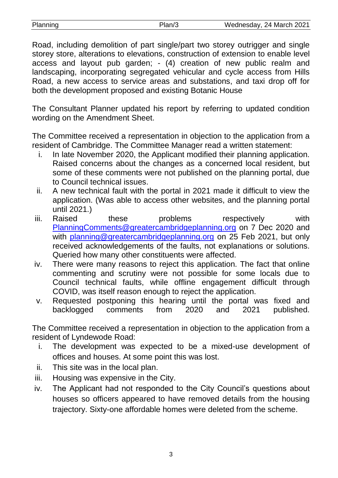| Planning | Wednesday, 24 March 2021 |
|----------|--------------------------|
|          |                          |

Road, including demolition of part single/part two storey outrigger and single storey store, alterations to elevations, construction of extension to enable level access and layout pub garden; - (4) creation of new public realm and landscaping, incorporating segregated vehicular and cycle access from Hills Road, a new access to service areas and substations, and taxi drop off for both the development proposed and existing Botanic House

The Consultant Planner updated his report by referring to updated condition wording on the Amendment Sheet.

The Committee received a representation in objection to the application from a resident of Cambridge. The Committee Manager read a written statement:

- i. In late November 2020, the Applicant modified their planning application. Raised concerns about the changes as a concerned local resident, but some of these comments were not published on the planning portal, due to Council technical issues.
- ii. A new technical fault with the portal in 2021 made it difficult to view the application. (Was able to access other websites, and the planning portal until 2021.)
- iii. Raised these problems respectively with [PlanningComments@greatercambridgeplanning.org](mailto:PlanningComments@greatercambridgeplanning.org) on 7 Dec 2020 and with [planning@greatercambridgeplanning.org](mailto:planning@greatercambridgeplanning.org) on 25 Feb 2021, but only received acknowledgements of the faults, not explanations or solutions. Queried how many other constituents were affected.
- iv. There were many reasons to reject this application. The fact that online commenting and scrutiny were not possible for some locals due to Council technical faults, while offline engagement difficult through COVID, was itself reason enough to reject the application.
- v. Requested postponing this hearing until the portal was fixed and backlogged comments from 2020 and 2021 published.

The Committee received a representation in objection to the application from a resident of Lyndewode Road:

- i. The development was expected to be a mixed-use development of offices and houses. At some point this was lost.
- ii. This site was in the local plan.
- iii. Housing was expensive in the City.
- iv. The Applicant had not responded to the City Council's questions about houses so officers appeared to have removed details from the housing trajectory. Sixty-one affordable homes were deleted from the scheme.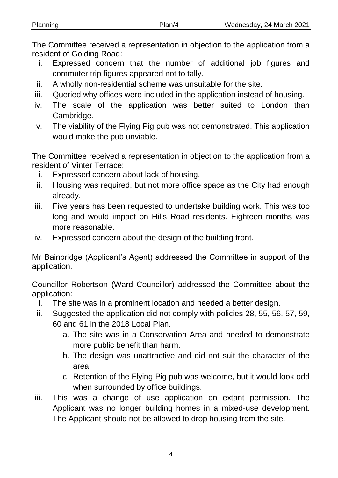The Committee received a representation in objection to the application from a resident of Golding Road:

- i. Expressed concern that the number of additional job figures and commuter trip figures appeared not to tally.
- ii. A wholly non-residential scheme was unsuitable for the site.
- iii. Queried why offices were included in the application instead of housing.
- iv. The scale of the application was better suited to London than Cambridge.
- v. The viability of the Flying Pig pub was not demonstrated. This application would make the pub unviable.

The Committee received a representation in objection to the application from a resident of Vinter Terrace:

- i. Expressed concern about lack of housing.
- ii. Housing was required, but not more office space as the City had enough already.
- iii. Five years has been requested to undertake building work. This was too long and would impact on Hills Road residents. Eighteen months was more reasonable.
- iv. Expressed concern about the design of the building front.

Mr Bainbridge (Applicant's Agent) addressed the Committee in support of the application.

Councillor Robertson (Ward Councillor) addressed the Committee about the application:

- i. The site was in a prominent location and needed a better design.
- ii. Suggested the application did not comply with policies 28, 55, 56, 57, 59, 60 and 61 in the 2018 Local Plan.
	- a. The site was in a Conservation Area and needed to demonstrate more public benefit than harm.
	- b. The design was unattractive and did not suit the character of the area.
	- c. Retention of the Flying Pig pub was welcome, but it would look odd when surrounded by office buildings.
- iii. This was a change of use application on extant permission. The Applicant was no longer building homes in a mixed-use development. The Applicant should not be allowed to drop housing from the site.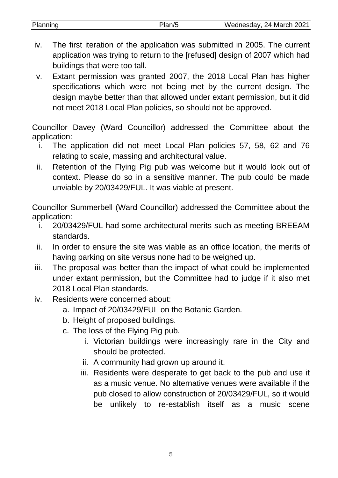| Planning<br>Wednesday, 24 March 2021<br>Plan/5 |  |
|------------------------------------------------|--|

- iv. The first iteration of the application was submitted in 2005. The current application was trying to return to the [refused] design of 2007 which had buildings that were too tall.
- v. Extant permission was granted 2007, the 2018 Local Plan has higher specifications which were not being met by the current design. The design maybe better than that allowed under extant permission, but it did not meet 2018 Local Plan policies, so should not be approved.

Councillor Davey (Ward Councillor) addressed the Committee about the application:

- i. The application did not meet Local Plan policies 57, 58, 62 and 76 relating to scale, massing and architectural value.
- ii. Retention of the Flying Pig pub was welcome but it would look out of context. Please do so in a sensitive manner. The pub could be made unviable by 20/03429/FUL. It was viable at present.

Councillor Summerbell (Ward Councillor) addressed the Committee about the application:

- i. 20/03429/FUL had some architectural merits such as meeting BREEAM standards.
- ii. In order to ensure the site was viable as an office location, the merits of having parking on site versus none had to be weighed up.
- iii. The proposal was better than the impact of what could be implemented under extant permission, but the Committee had to judge if it also met 2018 Local Plan standards.
- iv. Residents were concerned about:
	- a. Impact of 20/03429/FUL on the Botanic Garden.
	- b. Height of proposed buildings.
	- c. The loss of the Flying Pig pub.
		- i. Victorian buildings were increasingly rare in the City and should be protected.
		- ii. A community had grown up around it.
		- iii. Residents were desperate to get back to the pub and use it as a music venue. No alternative venues were available if the pub closed to allow construction of 20/03429/FUL, so it would be unlikely to re-establish itself as a music scene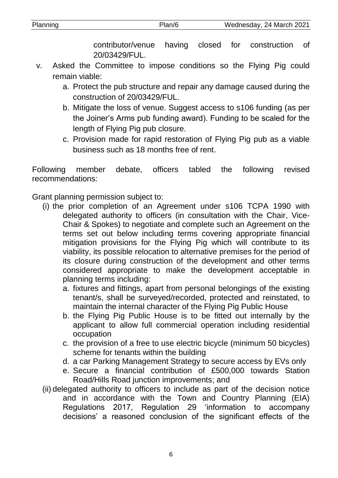contributor/venue having closed for construction of 20/03429/FUL.

- v. Asked the Committee to impose conditions so the Flying Pig could remain viable:
	- a. Protect the pub structure and repair any damage caused during the construction of 20/03429/FUL.
	- b. Mitigate the loss of venue. Suggest access to s106 funding (as per the Joiner's Arms pub funding award). Funding to be scaled for the length of Flying Pig pub closure.
	- c. Provision made for rapid restoration of Flying Pig pub as a viable business such as 18 months free of rent.

Following member debate, officers tabled the following revised recommendations:

Grant planning permission subject to:

- (i) the prior completion of an Agreement under s106 TCPA 1990 with delegated authority to officers (in consultation with the Chair, Vice-Chair & Spokes) to negotiate and complete such an Agreement on the terms set out below including terms covering appropriate financial mitigation provisions for the Flying Pig which will contribute to its viability, its possible relocation to alternative premises for the period of its closure during construction of the development and other terms considered appropriate to make the development acceptable in planning terms including:
	- a. fixtures and fittings, apart from personal belongings of the existing tenant/s, shall be surveyed/recorded, protected and reinstated, to maintain the internal character of the Flying Pig Public House
	- b. the Flying Pig Public House is to be fitted out internally by the applicant to allow full commercial operation including residential occupation
	- c. the provision of a free to use electric bicycle (minimum 50 bicycles) scheme for tenants within the building
	- d. a car Parking Management Strategy to secure access by EVs only
	- e. Secure a financial contribution of £500,000 towards Station Road/Hills Road junction improvements; and
- (ii) delegated authority to officers to include as part of the decision notice and in accordance with the Town and Country Planning (EIA) Regulations 2017, Regulation 29 'information to accompany decisions' a reasoned conclusion of the significant effects of the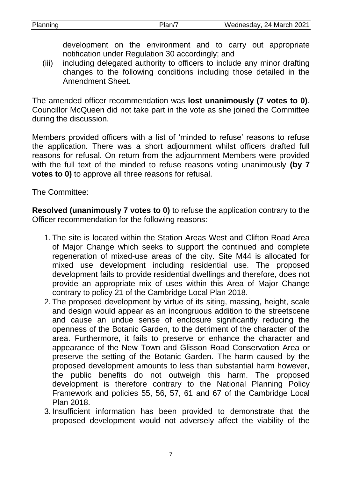development on the environment and to carry out appropriate notification under Regulation 30 accordingly; and

(iii) including delegated authority to officers to include any minor drafting changes to the following conditions including those detailed in the Amendment Sheet.

The amended officer recommendation was **lost unanimously (7 votes to 0)**. Councillor McQueen did not take part in the vote as she joined the Committee during the discussion.

Members provided officers with a list of 'minded to refuse' reasons to refuse the application. There was a short adjournment whilst officers drafted full reasons for refusal. On return from the adjournment Members were provided with the full text of the minded to refuse reasons voting unanimously **(by 7 votes to 0)** to approve all three reasons for refusal.

#### The Committee:

**Resolved (unanimously 7 votes to 0)** to refuse the application contrary to the Officer recommendation for the following reasons:

- 1. The site is located within the Station Areas West and Clifton Road Area of Major Change which seeks to support the continued and complete regeneration of mixed-use areas of the city. Site M44 is allocated for mixed use development including residential use. The proposed development fails to provide residential dwellings and therefore, does not provide an appropriate mix of uses within this Area of Major Change contrary to policy 21 of the Cambridge Local Plan 2018.
- 2. The proposed development by virtue of its siting, massing, height, scale and design would appear as an incongruous addition to the streetscene and cause an undue sense of enclosure significantly reducing the openness of the Botanic Garden, to the detriment of the character of the area. Furthermore, it fails to preserve or enhance the character and appearance of the New Town and Glisson Road Conservation Area or preserve the setting of the Botanic Garden. The harm caused by the proposed development amounts to less than substantial harm however, the public benefits do not outweigh this harm. The proposed development is therefore contrary to the National Planning Policy Framework and policies 55, 56, 57, 61 and 67 of the Cambridge Local Plan 2018.
- 3. Insufficient information has been provided to demonstrate that the proposed development would not adversely affect the viability of the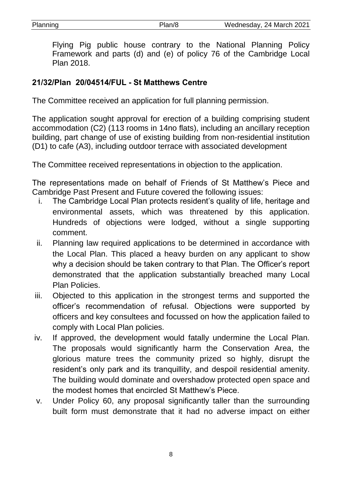Flying Pig public house contrary to the National Planning Policy Framework and parts (d) and (e) of policy 76 of the Cambridge Local Plan 2018.

# **21/32/Plan 20/04514/FUL - St Matthews Centre**

The Committee received an application for full planning permission.

The application sought approval for erection of a building comprising student accommodation (C2) (113 rooms in 14no flats), including an ancillary reception building, part change of use of existing building from non-residential institution (D1) to cafe (A3), including outdoor terrace with associated development

The Committee received representations in objection to the application.

The representations made on behalf of Friends of St Matthew's Piece and Cambridge Past Present and Future covered the following issues:

- i. The Cambridge Local Plan protects resident's quality of life, heritage and environmental assets, which was threatened by this application. Hundreds of objections were lodged, without a single supporting comment.
- ii. Planning law required applications to be determined in accordance with the Local Plan. This placed a heavy burden on any applicant to show why a decision should be taken contrary to that Plan. The Officer's report demonstrated that the application substantially breached many Local Plan Policies.
- iii. Objected to this application in the strongest terms and supported the officer's recommendation of refusal. Objections were supported by officers and key consultees and focussed on how the application failed to comply with Local Plan policies.
- iv. If approved, the development would fatally undermine the Local Plan. The proposals would significantly harm the Conservation Area, the glorious mature trees the community prized so highly, disrupt the resident's only park and its tranquillity, and despoil residential amenity. The building would dominate and overshadow protected open space and the modest homes that encircled St Matthew's Piece.
- v. Under Policy 60, any proposal significantly taller than the surrounding built form must demonstrate that it had no adverse impact on either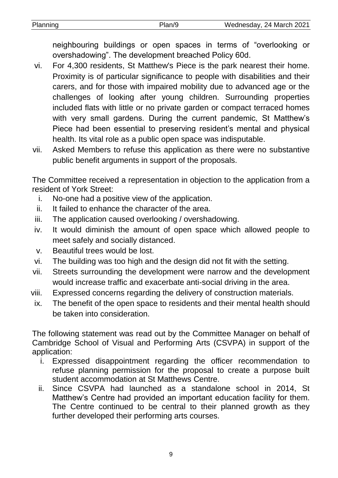neighbouring buildings or open spaces in terms of "overlooking or overshadowing". The development breached Policy 60d.

- vi. For 4,300 residents, St Matthew's Piece is the park nearest their home. Proximity is of particular significance to people with disabilities and their carers, and for those with impaired mobility due to advanced age or the challenges of looking after young children. Surrounding properties included flats with little or no private garden or compact terraced homes with very small gardens. During the current pandemic, St Matthew's Piece had been essential to preserving resident's mental and physical health. Its vital role as a public open space was indisputable.
- vii. Asked Members to refuse this application as there were no substantive public benefit arguments in support of the proposals.

The Committee received a representation in objection to the application from a resident of York Street:

- i. No-one had a positive view of the application.
- ii. It failed to enhance the character of the area.
- iii. The application caused overlooking / overshadowing.
- iv. It would diminish the amount of open space which allowed people to meet safely and socially distanced.
- v. Beautiful trees would be lost.
- vi. The building was too high and the design did not fit with the setting.
- vii. Streets surrounding the development were narrow and the development would increase traffic and exacerbate anti-social driving in the area.
- viii. Expressed concerns regarding the delivery of construction materials.
- ix. The benefit of the open space to residents and their mental health should be taken into consideration.

The following statement was read out by the Committee Manager on behalf of Cambridge School of Visual and Performing Arts (CSVPA) in support of the application:

- i. Expressed disappointment regarding the officer recommendation to refuse planning permission for the proposal to create a purpose built student accommodation at St Matthews Centre.
- ii. Since CSVPA had launched as a standalone school in 2014, St Matthew's Centre had provided an important education facility for them. The Centre continued to be central to their planned growth as they further developed their performing arts courses.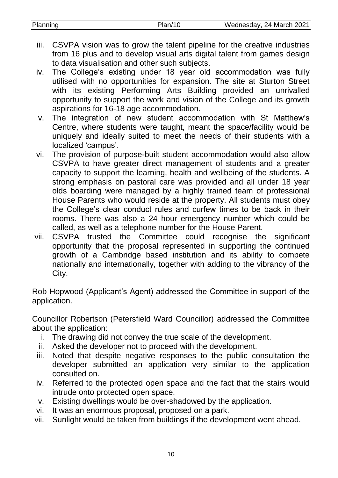- iii. CSVPA vision was to grow the talent pipeline for the creative industries from 16 plus and to develop visual arts digital talent from games design to data visualisation and other such subjects.
- iv. The College's existing under 18 year old accommodation was fully utilised with no opportunities for expansion. The site at Sturton Street with its existing Performing Arts Building provided an unrivalled opportunity to support the work and vision of the College and its growth aspirations for 16-18 age accommodation.
- v. The integration of new student accommodation with St Matthew's Centre, where students were taught, meant the space/facility would be uniquely and ideally suited to meet the needs of their students with a localized 'campus'.
- vi. The provision of purpose-built student accommodation would also allow CSVPA to have greater direct management of students and a greater capacity to support the learning, health and wellbeing of the students. A strong emphasis on pastoral care was provided and all under 18 year olds boarding were managed by a highly trained team of professional House Parents who would reside at the property. All students must obey the College's clear conduct rules and curfew times to be back in their rooms. There was also a 24 hour emergency number which could be called, as well as a telephone number for the House Parent.
- vii. CSVPA trusted the Committee could recognise the significant opportunity that the proposal represented in supporting the continued growth of a Cambridge based institution and its ability to compete nationally and internationally, together with adding to the vibrancy of the City.

Rob Hopwood (Applicant's Agent) addressed the Committee in support of the application.

Councillor Robertson (Petersfield Ward Councillor) addressed the Committee about the application:

- i. The drawing did not convey the true scale of the development.
- ii. Asked the developer not to proceed with the development.
- iii. Noted that despite negative responses to the public consultation the developer submitted an application very similar to the application consulted on.
- iv. Referred to the protected open space and the fact that the stairs would intrude onto protected open space.
- v. Existing dwellings would be over-shadowed by the application.
- vi. It was an enormous proposal, proposed on a park.
- vii. Sunlight would be taken from buildings if the development went ahead.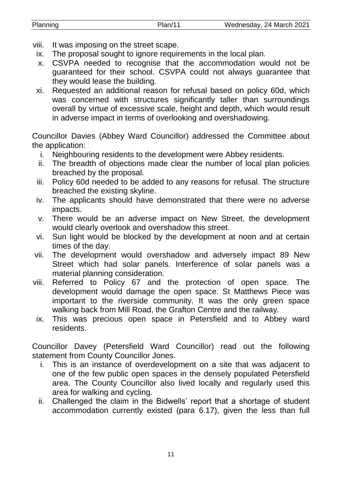| Planning | Plan/11 | Wednesday, 24 March 2021 |
|----------|---------|--------------------------|

- viii. It was imposing on the street scape.
- ix. The proposal sought to ignore requirements in the local plan.
- x. CSVPA needed to recognise that the accommodation would not be guaranteed for their school. CSVPA could not always guarantee that they would lease the building.
- xi. Requested an additional reason for refusal based on policy 60d, which was concerned with structures significantly taller than surroundings overall by virtue of excessive scale, height and depth, which would result in adverse impact in terms of overlooking and overshadowing.

Councillor Davies (Abbey Ward Councillor) addressed the Committee about the application:

- i. Neighbouring residents to the development were Abbey residents.
- ii. The breadth of objections made clear the number of local plan policies breached by the proposal.
- iii. Policy 60d needed to be added to any reasons for refusal. The structure breached the existing skyline.
- iv. The applicants should have demonstrated that there were no adverse impacts.
- v. There would be an adverse impact on New Street, the development would clearly overlook and overshadow this street.
- vi. Sun light would be blocked by the development at noon and at certain times of the day.
- vii. The development would overshadow and adversely impact 89 New Street which had solar panels. Interference of solar panels was a material planning consideration.
- viii. Referred to Policy 67 and the protection of open space. The development would damage the open space. St Matthews Piece was important to the riverside community. It was the only green space walking back from Mill Road, the Grafton Centre and the railway.
- ix. This was precious open space in Petersfield and to Abbey ward residents.

Councillor Davey (Petersfield Ward Councillor) read out the following statement from County Councillor Jones.

- i. This is an instance of overdevelopment on a site that was adjacent to one of the few public open spaces in the densely populated Petersfield area. The County Councillor also lived locally and regularly used this area for walking and cycling.
- ii. Challenged the claim in the Bidwells' report that a shortage of student accommodation currently existed (para 6.17), given the less than full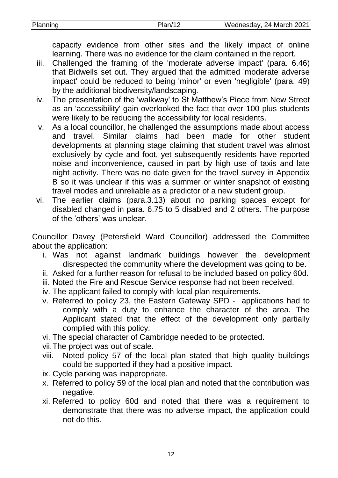capacity evidence from other sites and the likely impact of online learning. There was no evidence for the claim contained in the report.

- iii. Challenged the framing of the 'moderate adverse impact' (para. 6.46) that Bidwells set out. They argued that the admitted 'moderate adverse impact' could be reduced to being 'minor' or even 'negligible' (para. 49) by the additional biodiversity/landscaping.
- iv. The presentation of the 'walkway' to St Matthew's Piece from New Street as an 'accessibility' gain overlooked the fact that over 100 plus students were likely to be reducing the accessibility for local residents.
- v. As a local councillor, he challenged the assumptions made about access and travel. Similar claims had been made for other student developments at planning stage claiming that student travel was almost exclusively by cycle and foot, yet subsequently residents have reported noise and inconvenience, caused in part by high use of taxis and late night activity. There was no date given for the travel survey in Appendix B so it was unclear if this was a summer or winter snapshot of existing travel modes and unreliable as a predictor of a new student group.
- vi. The earlier claims (para.3.13) about no parking spaces except for disabled changed in para. 6.75 to 5 disabled and 2 others. The purpose of the 'others' was unclear.

Councillor Davey (Petersfield Ward Councillor) addressed the Committee about the application:

- i. Was not against landmark buildings however the development disrespected the community where the development was going to be.
- ii. Asked for a further reason for refusal to be included based on policy 60d.
- iii. Noted the Fire and Rescue Service response had not been received.
- iv. The applicant failed to comply with local plan requirements.
- v. Referred to policy 23, the Eastern Gateway SPD applications had to comply with a duty to enhance the character of the area. The Applicant stated that the effect of the development only partially complied with this policy.

vi. The special character of Cambridge needed to be protected.

vii.The project was out of scale.

- viii. Noted policy 57 of the local plan stated that high quality buildings could be supported if they had a positive impact.
- ix. Cycle parking was inappropriate.
- x. Referred to policy 59 of the local plan and noted that the contribution was negative.
- xi. Referred to policy 60d and noted that there was a requirement to demonstrate that there was no adverse impact, the application could not do this.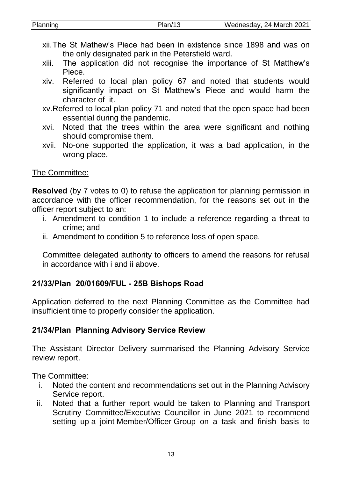| xii. The St Mathew's Piece had been in existence since 1898 and was on<br>the only designated park in the Petersfield ward.             |  |
|-----------------------------------------------------------------------------------------------------------------------------------------|--|
| xiii.<br>The application did not recognise the importance of St Matthew's                                                               |  |
| Piece.                                                                                                                                  |  |
| Referred to local plan policy 67 and noted that students would<br>XİV.<br>significantly impact on St Matthew's Piece and would harm the |  |
| character of it.                                                                                                                        |  |
| xv. Referred to local plan policy 71 and noted that the open space had been<br>essential during the pandemic.                           |  |
| Noted that the trees within the area were significant and nothing<br>XVI.<br>should compromise them.                                    |  |
| No-one supported the application, it was a bad application, in the<br>XVII.                                                             |  |

Planning Plan/13 Wednesday, 24 March 2021

#### xvii. No-one supported the application, it was a bad application, in the wrong place.

## The Committee:

**Resolved** (by 7 votes to 0) to refuse the application for planning permission in accordance with the officer recommendation, for the reasons set out in the officer report subject to an:

- i. Amendment to condition 1 to include a reference regarding a threat to crime; and
- ii. Amendment to condition 5 to reference loss of open space.

Committee delegated authority to officers to amend the reasons for refusal in accordance with i and ii above.

# **21/33/Plan 20/01609/FUL - 25B Bishops Road**

Application deferred to the next Planning Committee as the Committee had insufficient time to properly consider the application.

# **21/34/Plan Planning Advisory Service Review**

The Assistant Director Delivery summarised the Planning Advisory Service review report.

The Committee:

- i. Noted the content and recommendations set out in the Planning Advisory Service report.
- ii. Noted that a further report would be taken to Planning and Transport Scrutiny Committee/Executive Councillor in June 2021 to recommend setting up a joint Member/Officer Group on a task and finish basis to